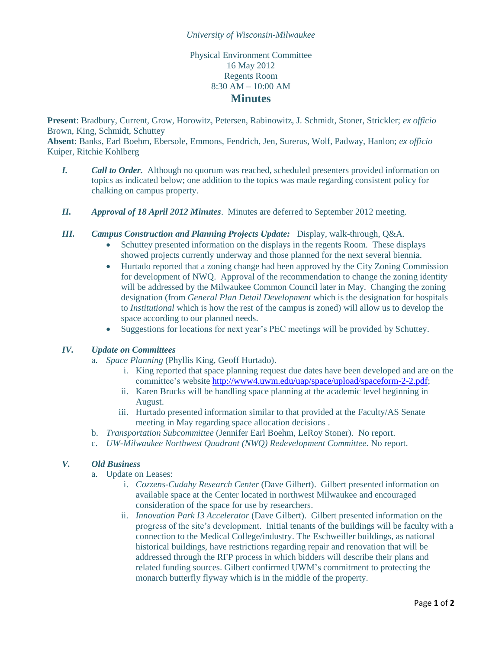## *University of Wisconsin-Milwaukee*

# Physical Environment Committee 16 May 2012 Regents Room 8:30 AM – 10:00 AM **Minutes**

**Present**: Bradbury, Current, Grow, Horowitz, Petersen, Rabinowitz, J. Schmidt, Stoner, Strickler; *ex officio* Brown, King, Schmidt, Schuttey

**Absent**: Banks, Earl Boehm, Ebersole, Emmons, Fendrich, Jen, Surerus, Wolf, Padway, Hanlon; *ex officio* Kuiper, Ritchie Kohlberg

- *I. Call to Order.* Although no quorum was reached, scheduled presenters provided information on topics as indicated below; one addition to the topics was made regarding consistent policy for chalking on campus property.
- *II. Approval of 18 April 2012 Minutes*. Minutes are deferred to September 2012 meeting.
- *III. Campus Construction and Planning Projects Update:* Display, walk-through, Q&A.
	- Schuttey presented information on the displays in the regents Room. These displays showed projects currently underway and those planned for the next several biennia.
	- Hurtado reported that a zoning change had been approved by the City Zoning Commission for development of NWQ. Approval of the recommendation to change the zoning identity will be addressed by the Milwaukee Common Council later in May. Changing the zoning designation (from *General Plan Detail Development* which is the designation for hospitals to *Institutional* which is how the rest of the campus is zoned) will allow us to develop the space according to our planned needs.
	- Suggestions for locations for next year's PEC meetings will be provided by Schuttey.

## *IV. Update on Committees*

- a. *Space Planning* (Phyllis King, Geoff Hurtado).
	- i. King reported that space planning request due dates have been developed and are on the committee's website [http://www4.uwm.edu/uap/space/upload/spaceform-2-2.pdf;](http://www4.uwm.edu/uap/space/upload/spaceform-2-2.pdf)
	- ii. Karen Brucks will be handling space planning at the academic level beginning in August.
	- iii. Hurtado presented information similar to that provided at the Faculty/AS Senate meeting in May regarding space allocation decisions .
	- b. *Transportation Subcommittee* (Jennifer Earl Boehm, LeRoy Stoner). No report.
- c. *UW-Milwaukee Northwest Quadrant (NWQ) Redevelopment Committee.* No report.

## *V. Old Business*

- a. Update on Leases:
	- i. *Cozzens-Cudahy Research Center* (Dave Gilbert). Gilbert presented information on available space at the Center located in northwest Milwaukee and encouraged consideration of the space for use by researchers.
	- ii. *Innovation Park I3 Accelerator* (Dave Gilbert). Gilbert presented information on the progress of the site's development. Initial tenants of the buildings will be faculty with a connection to the Medical College/industry. The Eschweiller buildings, as national historical buildings, have restrictions regarding repair and renovation that will be addressed through the RFP process in which bidders will describe their plans and related funding sources. Gilbert confirmed UWM's commitment to protecting the monarch butterfly flyway which is in the middle of the property.